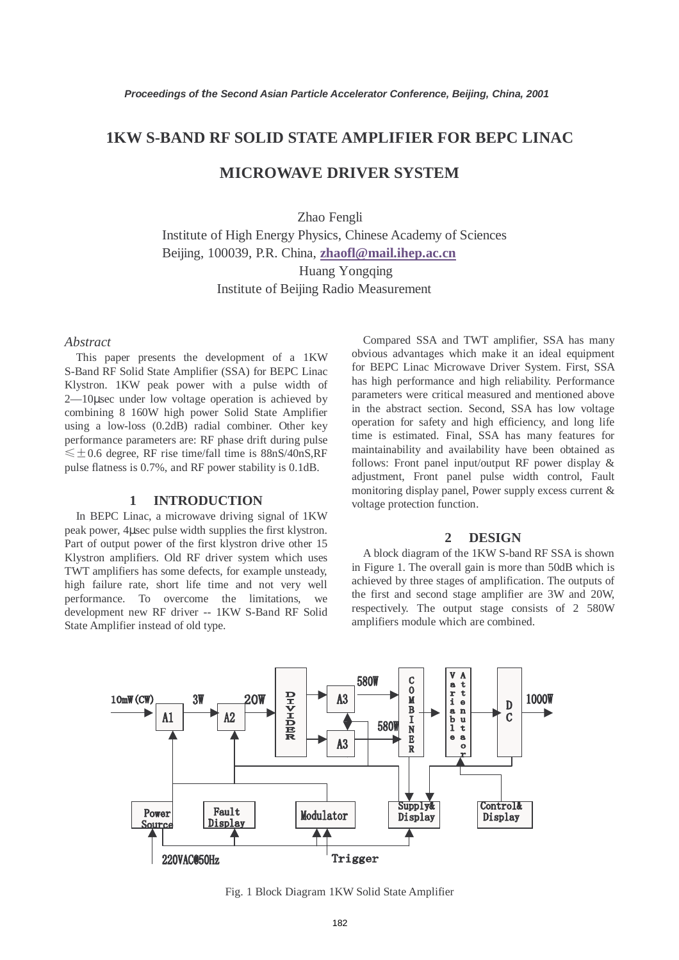## **1KW S-BAND RF SOLID STATE AMPLIFIER FOR BEPC LINAC**

# **MICROWAVE DRIVER SYSTEM**

Zhao Fengli

Institute of High Energy Physics, Chinese Academy of Sciences Beijing, 100039, P.R. China, **zhaofl@mail.ihep.ac.cn** Huang Yongqing Institute of Beijing Radio Measurement

#### *Abstract*

This paper presents the development of a 1KW S-Band RF Solid State Amplifier (SSA) for BEPC Linac Klystron. 1KW peak power with a pulse width of 2—10µsec under low voltage operation is achieved by combining 8 160W high power Solid State Amplifier using a low-loss (0.2dB) radial combiner. Other key performance parameters are: RF phase drift during pulse  $\leq$  ±0.6 degree, RF rise time/fall time is 88nS/40nS,RF pulse flatness is 0.7%, and RF power stability is 0.1dB.

### **1 INTRODUCTION**

In BEPC Linac, a microwave driving signal of 1KW peak power, 4µsec pulse width supplies the first klystron. Part of output power of the first klystron drive other 15 Klystron amplifiers. Old RF driver system which uses TWT amplifiers has some defects, for example unsteady, high failure rate, short life time and not very well performance. To overcome the limitations, we development new RF driver -- 1KW S-Band RF Solid State Amplifier instead of old type.

Compared SSA and TWT amplifier, SSA has many obvious advantages which make it an ideal equipment for BEPC Linac Microwave Driver System. First, SSA has high performance and high reliability. Performance parameters were critical measured and mentioned above in the abstract section. Second, SSA has low voltage operation for safety and high efficiency, and long life time is estimated. Final, SSA has many features for maintainability and availability have been obtained as follows: Front panel input/output RF power display & adjustment, Front panel pulse width control, Fault monitoring display panel, Power supply excess current & voltage protection function.

#### **2 DESIGN**

A block diagram of the 1KW S-band RF SSA is shown in Figure 1. The overall gain is more than 50dB which is achieved by three stages of amplification. The outputs of the first and second stage amplifier are 3W and 20W, respectively. The output stage consists of 2 580W amplifiers module which are combined.



Fig. 1 Block Diagram 1KW Solid State Amplifier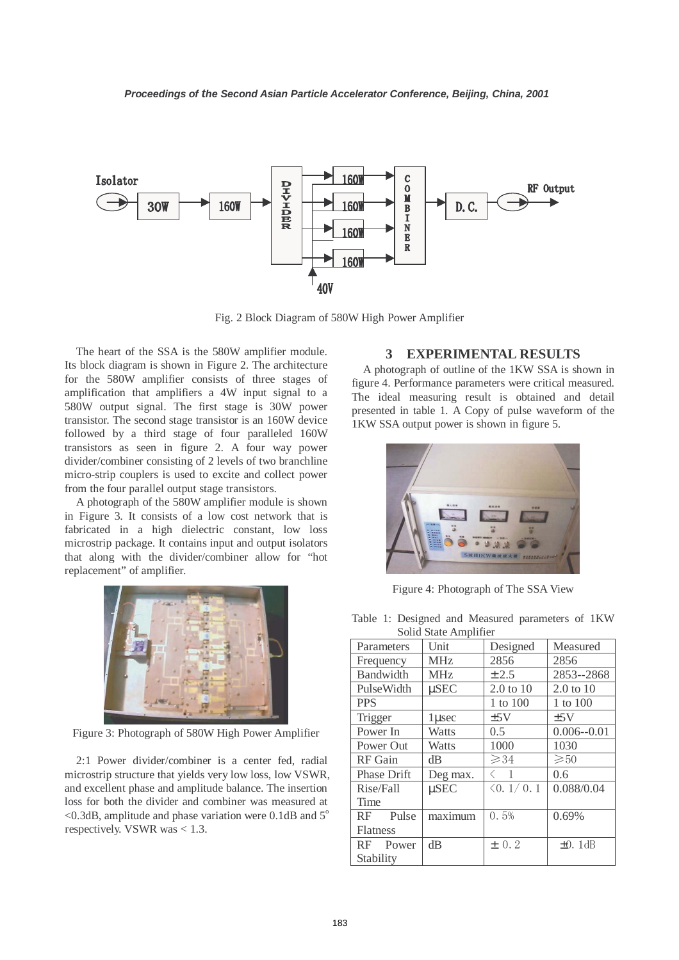

Fig. 2 Block Diagram of 580W High Power Amplifier

The heart of the SSA is the 580W amplifier module. Its block diagram is shown in Figure 2. The architecture for the 580W amplifier consists of three stages of amplification that amplifiers a 4W input signal to a 580W output signal. The first stage is 30W power transistor. The second stage transistor is an 160W device followed by a third stage of four paralleled 160W transistors as seen in figure 2. A four way power divider/combiner consisting of 2 levels of two branchline micro-strip couplers is used to excite and collect power from the four parallel output stage transistors.

A photograph of the 580W amplifier module is shown in Figure 3. It consists of a low cost network that is fabricated in a high dielectric constant, low loss microstrip package. It contains input and output isolators that along with the divider/combiner allow for "hot replacement" of amplifier.



Figure 3: Photograph of 580W High Power Amplifier

2:1 Power divider/combiner is a center fed, radial microstrip structure that yields very low loss, low VSWR, and excellent phase and amplitude balance. The insertion loss for both the divider and combiner was measured at  $<$ 0.3dB, amplitude and phase variation were 0.1dB and  $5^\circ$ respectively. VSWR was < 1.3.

#### **3 EXPERIMENTAL RESULTS**

A photograph of outline of the 1KW SSA is shown in figure 4. Performance parameters were critical measured. The ideal measuring result is obtained and detail presented in table 1. A Copy of pulse waveform of the 1KW SSA output power is shown in figure 5.



Figure 4: Photograph of The SSA View

Table 1: Designed and Measured parameters of 1KW  $S_0$ lid  $S_{total}$  Amplifier

| Sond State Annonnel |            |                           |                      |
|---------------------|------------|---------------------------|----------------------|
| Parameters          | Unit       | Designed                  | Measured             |
| Frequency           | <b>MHz</b> | 2856                      | 2856                 |
| <b>Bandwidth</b>    | <b>MHz</b> | $\pm 2.5$                 | 2853--2868           |
| PulseWidth          | $\mu$ SEC  | $2.0 \text{ to } 10$      | $2.0 \text{ to } 10$ |
| <b>PPS</b>          |            | 1 to 100                  | 1 to 100             |
| Trigger             | 1 usec     | ±5V                       | $\pm$ 5V             |
| Power In            | Watts      | $0.5^{\circ}$             | $0.006 - 0.01$       |
| Power Out           | Watts      | 1000                      | 1030                 |
| <b>RF</b> Gain      | dB         | $\geqslant$ 34            | $\geqslant 50$       |
| Phase Drift         | Deg max.   | $\mathbf{1}$              | 0.6                  |
| Rise/Fall           | $\mu$ SEC  | $\langle 0.1/0.1 \rangle$ | 0.088/0.04           |
| Time                |            |                           |                      |
| Pulse<br>RF         | maximum    | 0.5%                      | 0.69%                |
| Flatness            |            |                           |                      |
| RF.<br>Power        | $\rm dB$   | $\pm$ 0.2                 | $\pm 0.1$ dB         |
| Stability           |            |                           |                      |